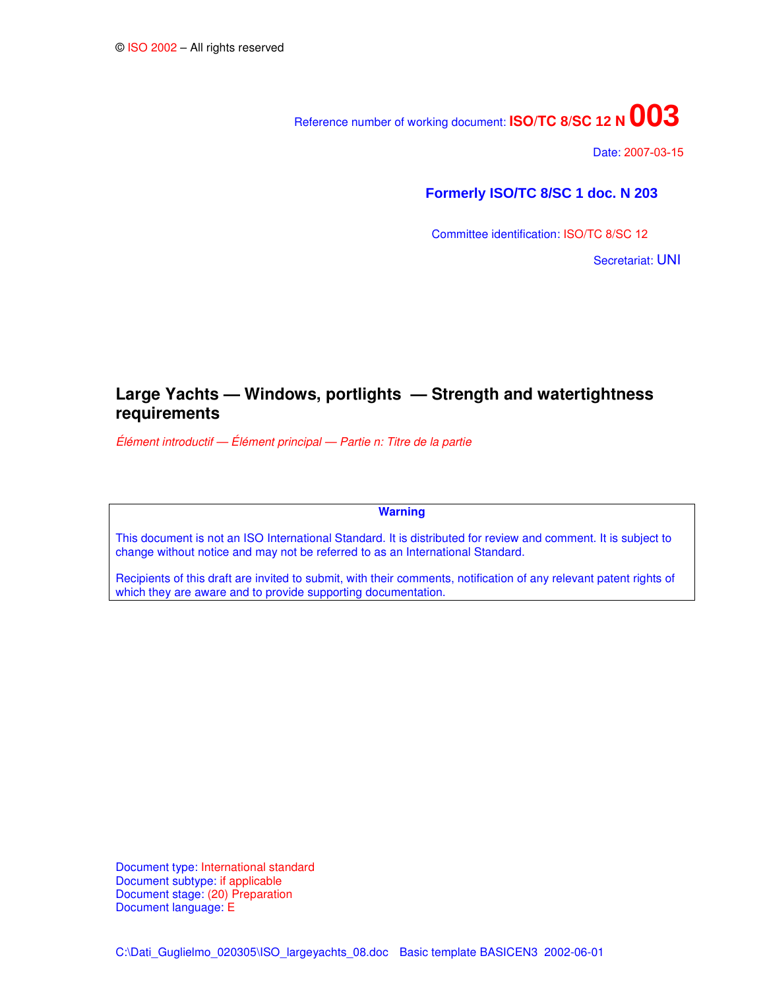# Reference number of working document: **ISO/TC <sup>8</sup>/SC 12<sup>N</sup>003**

Date: 2007-03-15

# **Formerly ISO/TC 8/SC 1 doc. N 203**

Committee identification: ISO/TC 8/SC 12

Secretariat: UNI

# **Large Yachts — Windows, portlights — Strength and watertightness requirements**

*Élément introductif — Élément principal — Partie n: Titre de la partie*

**Warning**

This document is not an ISO International Standard. It is distributed for review and comment. It is subject to change without notice and may not be referred to as an International Standard.

Recipients of this draft are invited to submit, with their comments, notification of any relevant patent rights of which they are aware and to provide supporting documentation.

Document type: International standard Document subtype: if applicable Document stage: (20) Preparation Document language: E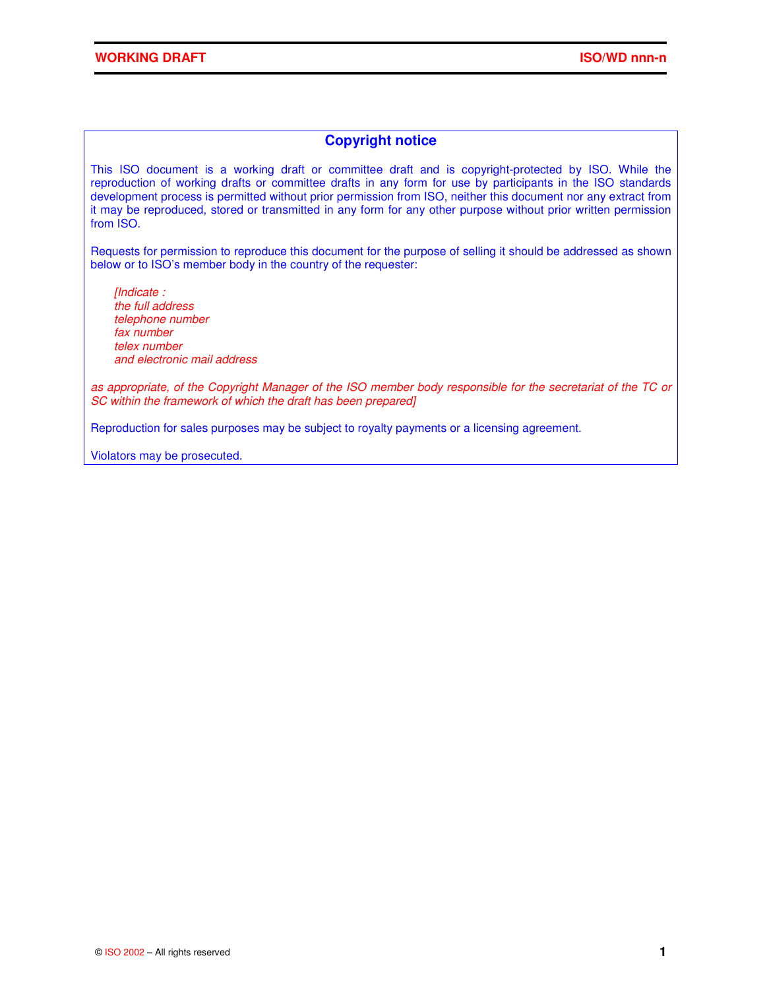# **Copyright notice**

This ISO document is a working draft or committee draft and is copyright-protected by ISO. While the reproduction of working drafts or committee drafts in any form for use by participants in the ISO standards development process is permitted without prior permission from ISO, neither this document nor any extract from it may be reproduced, stored or transmitted in any form for any other purpose without prior written permission from ISO.

Requests for permission to reproduce this document for the purpose of selling it should be addressed as shown below or to ISO's member body in the country of the requester:

*[Indicate : the full address telephone number fax number telex number and electronic mail address*

as appropriate, of the Copyright Manager of the ISO member body responsible for the secretariat of the TC or *SC within the framework of which the draft has been prepared]*

Reproduction for sales purposes may be subject to royalty payments or a licensing agreement.

Violators may be prosecuted.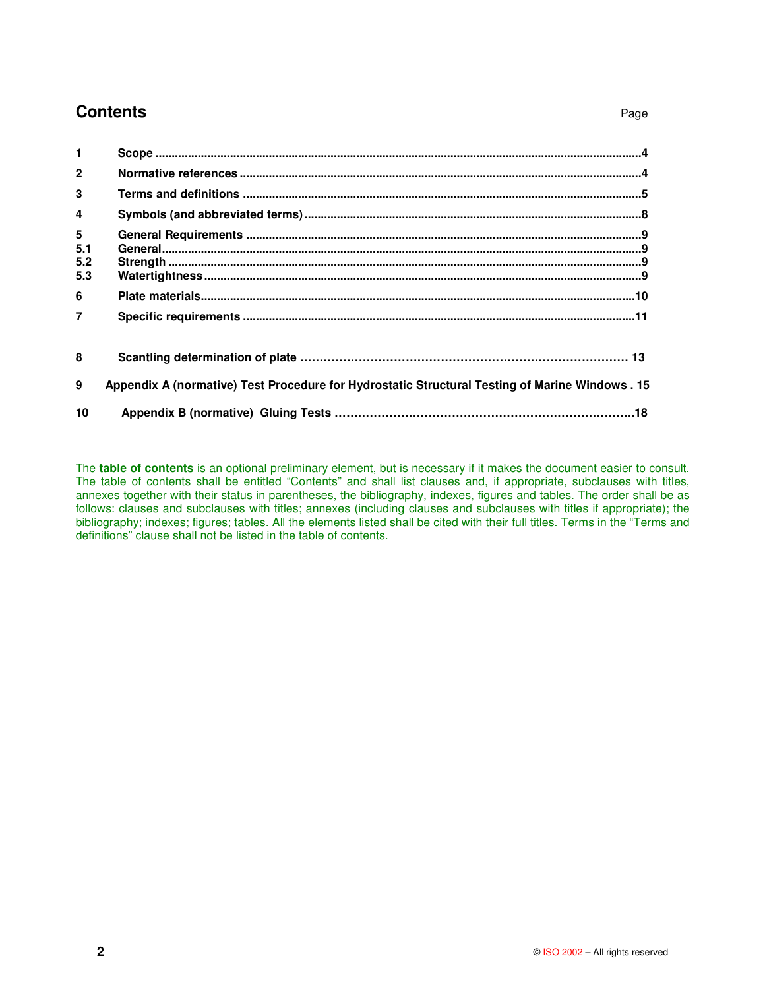# **Contents** Page

| $\overline{2}$                       |                                                                                                 |  |
|--------------------------------------|-------------------------------------------------------------------------------------------------|--|
| 3                                    |                                                                                                 |  |
| $\overline{4}$                       |                                                                                                 |  |
| $5\phantom{.0}$<br>5.1<br>5.2<br>5.3 |                                                                                                 |  |
| 6                                    |                                                                                                 |  |
| $\overline{7}$                       |                                                                                                 |  |
| 8                                    |                                                                                                 |  |
| 9                                    | Appendix A (normative) Test Procedure for Hydrostatic Structural Testing of Marine Windows . 15 |  |
| 10                                   |                                                                                                 |  |

The **table of contents** is an optional preliminary element, but is necessary if it makes the document easier to consult. The table of contents shall be entitled "Contents" and shall list clauses and, if appropriate, subclauses with titles, annexes together with their status in parentheses, the bibliography, indexes, figures and tables. The order shall be as follows: clauses and subclauses with titles; annexes (including clauses and subclauses with titles if appropriate); the bibliography; indexes; figures; tables. All the elements listed shall be cited with their full titles. Terms in the "Terms and definitions" clause shall not be listed in the table of contents.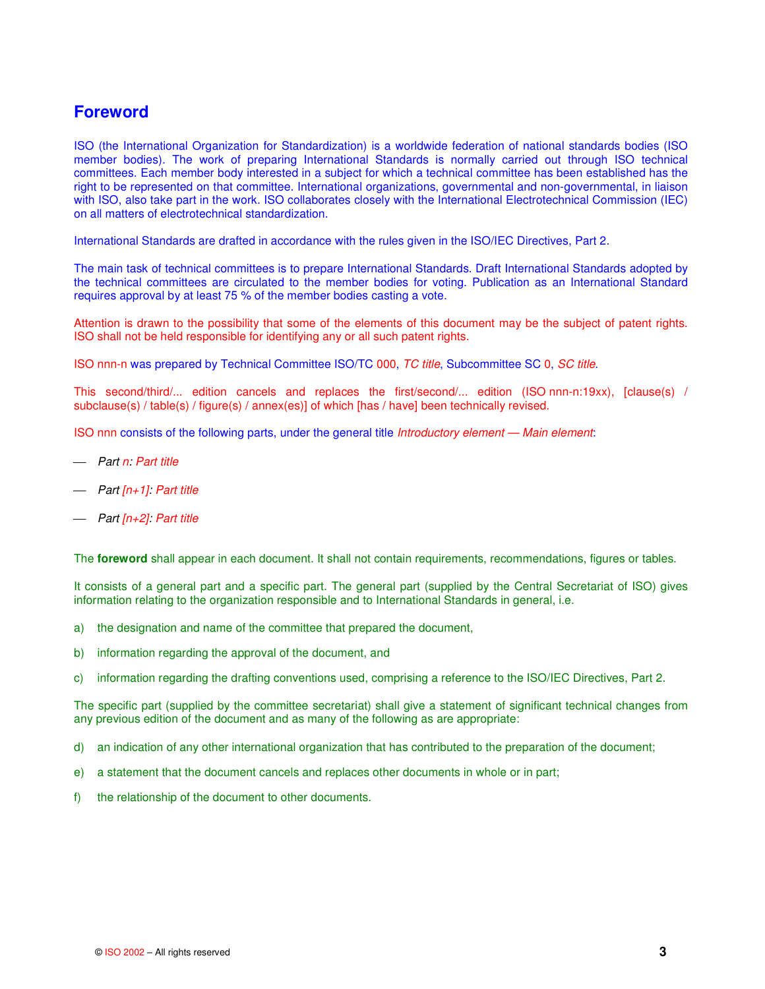# **Foreword**

ISO (the International Organization for Standardization) is a worldwide federation of national standards bodies (ISO member bodies). The work of preparing International Standards is normally carried out through ISO technical committees. Each member body interested in a subject for which a technical committee has been established has the right to be represented on that committee. International organizations, governmental and non-governmental, in liaison with ISO, also take part in the work. ISO collaborates closely with the International Electrotechnical Commission (IEC) on all matters of electrotechnical standardization.

International Standards are drafted in accordance with the rules given in the ISO/IEC Directives, Part 2.

The main task of technical committees is to prepare International Standards. Draft International Standards adopted by the technical committees are circulated to the member bodies for voting. Publication as an International Standard requires approval by at least 75 % of the member bodies casting a vote.

Attention is drawn to the possibility that some of the elements of this document may be the subject of patent rights. ISO shall not be held responsible for identifying any or all such patent rights.

ISO nnn-n was prepared by Technical Committee ISO/TC 000, *TC title*, Subcommittee SC 0, *SC title*.

This second/third/... edition cancels and replaces the first/second/... edition (ISO nnn-n:19xx), [clause(s) / subclause(s) / table(s) / figure(s) / annex(es)] of which [has / have] been technically revised.

ISO nnn consists of the following parts, under the general title *Introductory element — Main element*:

- *Part n: Part title*
- *Part [n+1]: Part title*
- *Part [n+2]: Part title*

The **foreword** shall appear in each document. It shall not contain requirements, recommendations, figures or tables.

It consists of a general part and a specific part. The general part (supplied by the Central Secretariat of ISO) gives information relating to the organization responsible and to International Standards in general, i.e.

- a) the designation and name of the committee that prepared the document,
- b) information regarding the approval of the document, and
- c) information regarding the drafting conventions used, comprising a reference to the ISO/IEC Directives, Part 2.

The specific part (supplied by the committee secretariat) shall give a statement of significant technical changes from any previous edition of the document and as many of the following as are appropriate:

- d) an indication of any other international organization that has contributed to the preparation of the document;
- e) a statement that the document cancels and replaces other documents in whole or in part;
- f) the relationship of the document to other documents.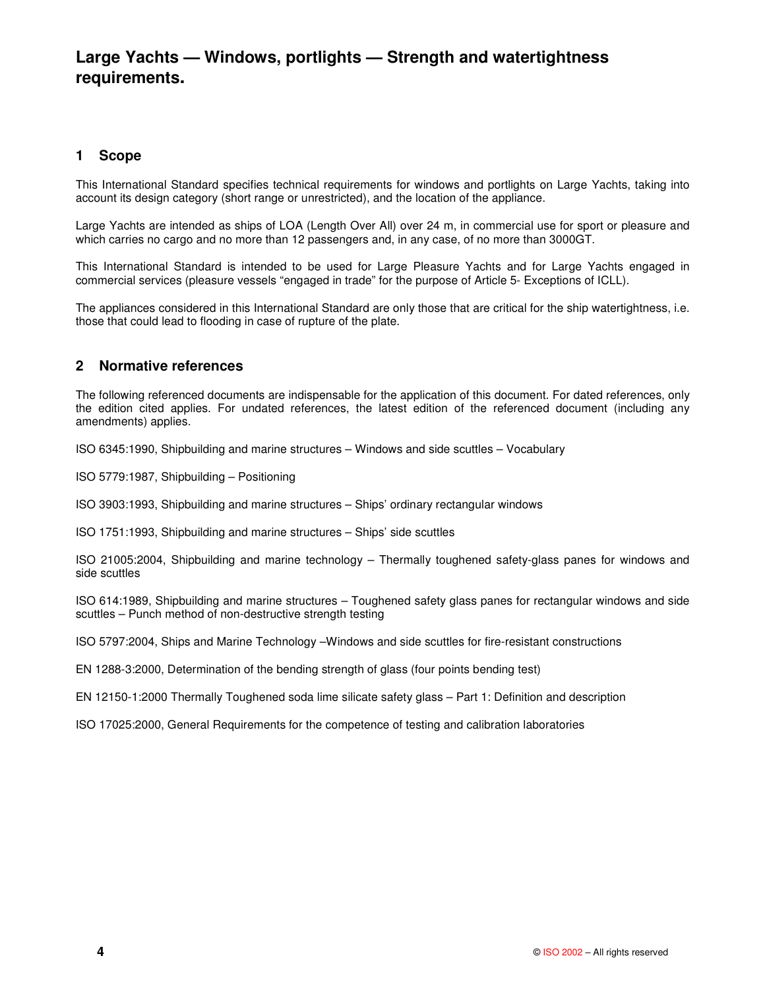# **Large Yachts — Windows, portlights — Strength and watertightness requirements.**

# **1 Scope**

This International Standard specifies technical requirements for windows and portlights on Large Yachts, taking into account its design category (short range or unrestricted), and the location of the appliance.

Large Yachts are intended as ships of LOA (Length Over All) over 24 m, in commercial use for sport or pleasure and which carries no cargo and no more than 12 passengers and, in any case, of no more than 3000GT.

This International Standard is intended to be used for Large Pleasure Yachts and for Large Yachts engaged in commercial services (pleasure vessels "engaged in trade" for the purpose of Article 5- Exceptions of ICLL).

The appliances considered in this International Standard are only those that are critical for the ship watertightness, i.e. those that could lead to flooding in case of rupture of the plate.

# **2 Normative references**

The following referenced documents are indispensable for the application of this document. For dated references, only the edition cited applies. For undated references, the latest edition of the referenced document (including any amendments) applies.

ISO 6345:1990, Shipbuilding and marine structures – Windows and side scuttles – Vocabulary

ISO 5779:1987, Shipbuilding – Positioning

ISO 3903:1993, Shipbuilding and marine structures – Ships' ordinary rectangular windows

ISO 1751:1993, Shipbuilding and marine structures – Ships' side scuttles

ISO 21005:2004, Shipbuilding and marine technology – Thermally toughened safety-glass panes for windows and side scuttles

ISO 614:1989, Shipbuilding and marine structures – Toughened safety glass panes for rectangular windows and side scuttles – Punch method of non-destructive strength testing

ISO 5797:2004, Ships and Marine Technology –Windows and side scuttles for fire-resistant constructions

EN 1288-3:2000, Determination of the bending strength of glass (four points bending test)

EN 12150-1:2000 Thermally Toughened soda lime silicate safety glass – Part 1: Definition and description

ISO 17025:2000, General Requirements for the competence of testing and calibration laboratories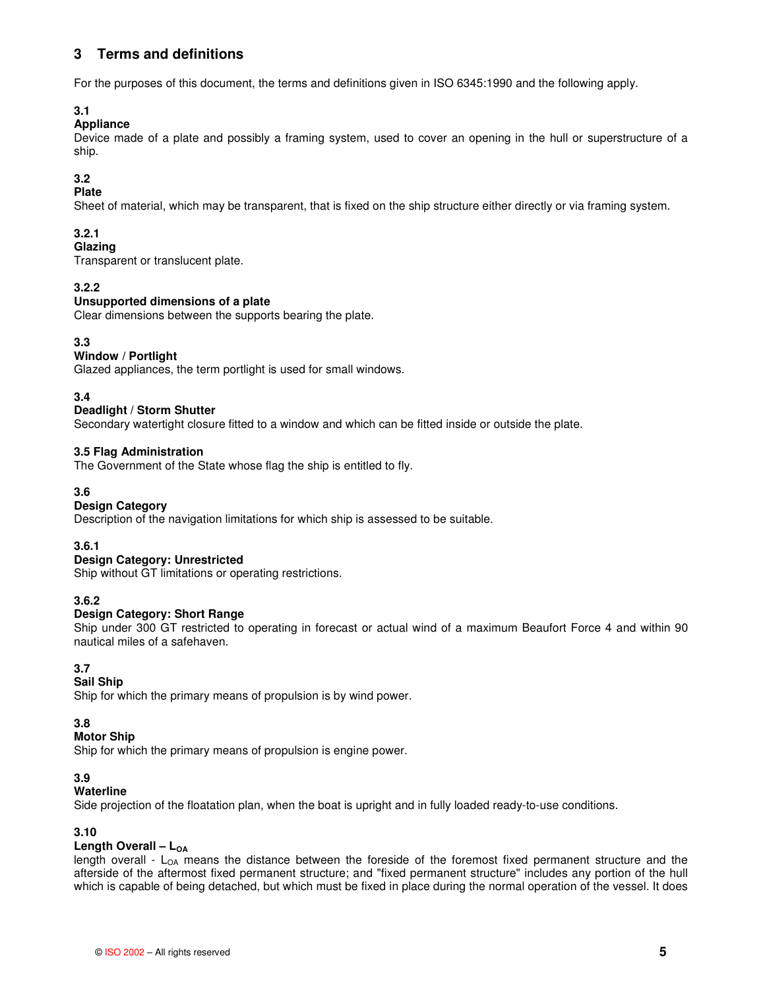# **3 Terms and definitions**

For the purposes of this document, the terms and definitions given in ISO 6345:1990 and the following apply.

# **3.1**

# **Appliance**

Device made of a plate and possibly a framing system, used to cover an opening in the hull or superstructure of a ship.

# **3.2**

# **Plate**

Sheet of material, which may be transparent, that is fixed on the ship structure either directly or via framing system.

# **3.2.1**

# **Glazing**

Transparent or translucent plate.

# **3.2.2**

# **Unsupported dimensions of a plate**

Clear dimensions between the supports bearing the plate.

# **3.3**

# **Window / Portlight**

Glazed appliances, the term portlight is used for small windows.

# **3.4**

# **Deadlight / Storm Shutter**

Secondary watertight closure fitted to a window and which can be fitted inside or outside the plate.

# **3.5 Flag Administration**

The Government of the State whose flag the ship is entitled to fly.

# **3.6**

# **Design Category**

Description of the navigation limitations for which ship is assessed to be suitable.

# **3.6.1**

# **Design Category: Unrestricted**

Ship without GT limitations or operating restrictions.

# **3.6.2**

# **Design Category: Short Range**

Ship under 300 GT restricted to operating in forecast or actual wind of a maximum Beaufort Force 4 and within 90 nautical miles of a safehaven.

# **3.7**

# **Sail Ship**

Ship for which the primary means of propulsion is by wind power.

# **3.8**

# **Motor Ship**

Ship for which the primary means of propulsion is engine power.

# **3.9**

# **Waterline**

Side projection of the floatation plan, when the boat is upright and in fully loaded ready-to-use conditions.

# **3.10**

# **Length Overall – L<sub>OA</sub>**

length overall -  $L_{OA}$  means the distance between the foreside of the foremost fixed permanent structure and the afterside of the aftermost fixed permanent structure; and "fixed permanent structure" includes any portion of the hull which is capable of being detached, but which must be fixed in place during the normal operation of the vessel. It does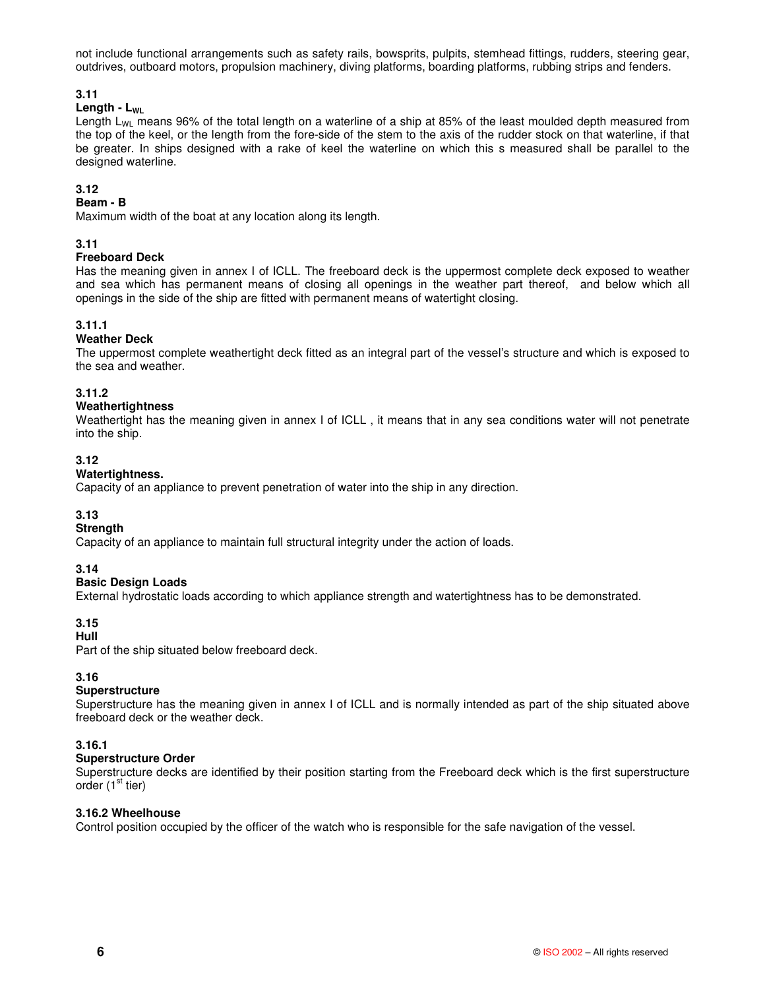not include functional arrangements such as safety rails, bowsprits, pulpits, stemhead fittings, rudders, steering gear, outdrives, outboard motors, propulsion machinery, diving platforms, boarding platforms, rubbing strips and fenders.

# **3.11**

# **Length -**  $L_{\text{WL}}$

Length  $L_{W1}$  means 96% of the total length on a waterline of a ship at 85% of the least moulded depth measured from the top of the keel, or the length from the fore-side of the stem to the axis of the rudder stock on that waterline, if that be greater. In ships designed with a rake of keel the waterline on which this s measured shall be parallel to the designed waterline.

# **3.12**

# **Beam - B**

Maximum width of the boat at any location along its length.

# **3.11**

# **Freeboard Deck**

Has the meaning given in annex I of ICLL. The freeboard deck is the uppermost complete deck exposed to weather and sea which has permanent means of closing all openings in the weather part thereof, and below which all openings in the side of the ship are fitted with permanent means of watertight closing.

# **3.11.1**

# **Weather Deck**

The uppermost complete weathertight deck fitted as an integral part of the vessel's structure and which is exposed to the sea and weather.

# **3.11.2**

# **Weathertightness**

Weathertight has the meaning given in annex I of ICLL , it means that in any sea conditions water will not penetrate into the ship.

# **3.12**

# **Watertightness.**

Capacity of an appliance to prevent penetration of water into the ship in any direction.

# **3.13**

#### **Strength**

Capacity of an appliance to maintain full structural integrity under the action of loads.

#### **3.14**

# **Basic Design Loads**

External hydrostatic loads according to which appliance strength and watertightness has to be demonstrated.

# **3.15**

# **Hull**

Part of the ship situated below freeboard deck.

# **3.16**

# **Superstructure**

Superstructure has the meaning given in annex I of ICLL and is normally intended as part of the ship situated above freeboard deck or the weather deck.

# **3.16.1**

#### **Superstructure Order**

Superstructure decks are identified by their position starting from the Freeboard deck which is the first superstructure order (1<sup>st</sup> tier)

#### **3.16.2 Wheelhouse**

Control position occupied by the officer of the watch who is responsible for the safe navigation of the vessel.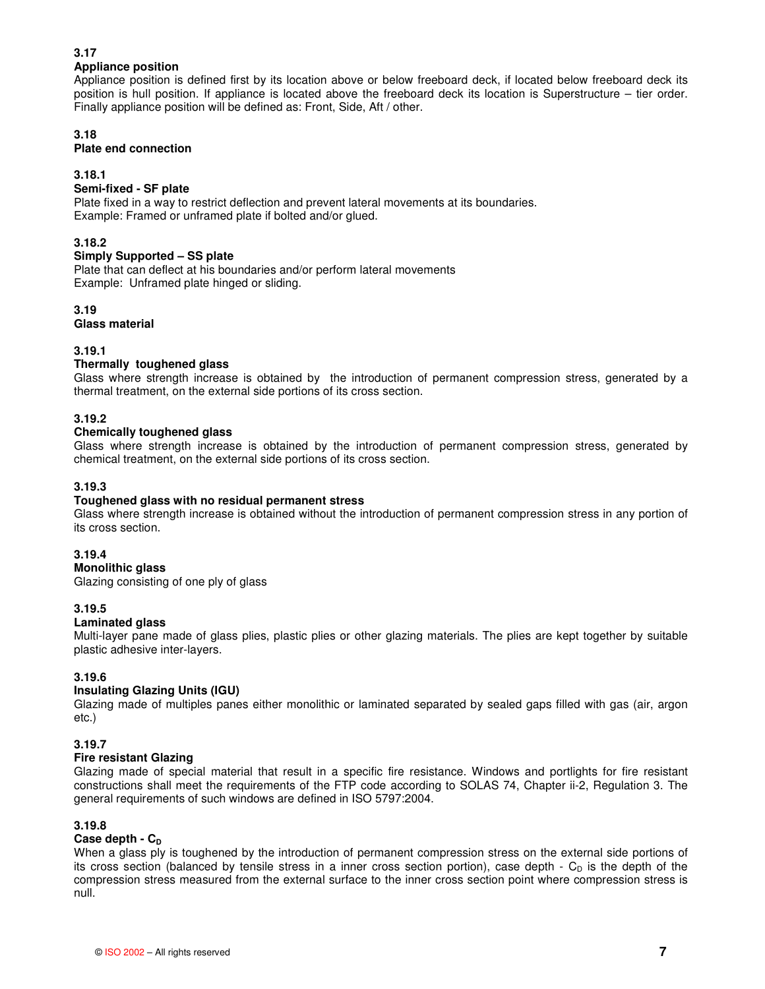# **3.17**

# **Appliance position**

Appliance position is defined first by its location above or below freeboard deck, if located below freeboard deck its position is hull position. If appliance is located above the freeboard deck its location is Superstructure – tier order. Finally appliance position will be defined as: Front, Side, Aft / other.

# **3.18**

# **Plate end connection**

# **3.18.1**

# **Semi-fixed - SF plate**

Plate fixed in a way to restrict deflection and prevent lateral movements at its boundaries. Example: Framed or unframed plate if bolted and/or glued.

# **3.18.2**

# **Simply Supported – SS plate**

Plate that can deflect at his boundaries and/or perform lateral movements Example: Unframed plate hinged or sliding.

# **3.19**

**Glass material**

# **3.19.1**

# **Thermally toughened glass**

Glass where strength increase is obtained by the introduction of permanent compression stress, generated by a thermal treatment, on the external side portions of its cross section.

# **3.19.2**

# **Chemically toughened glass**

Glass where strength increase is obtained by the introduction of permanent compression stress, generated by chemical treatment, on the external side portions of its cross section.

# **3.19.3**

# **Toughened glass with no residual permanent stress**

Glass where strength increase is obtained without the introduction of permanent compression stress in any portion of its cross section.

# **3.19.4**

**Monolithic glass**

Glazing consisting of one ply of glass

# **3.19.5**

# **Laminated glass**

Multi-layer pane made of glass plies, plastic plies or other glazing materials. The plies are kept together by suitable plastic adhesive inter-layers.

# **3.19.6**

# **Insulating Glazing Units (IGU)**

Glazing made of multiples panes either monolithic or laminated separated by sealed gaps filled with gas (air, argon etc.)

# **3.19.7**

# **Fire resistant Glazing**

Glazing made of special material that result in a specific fire resistance. Windows and portlights for fire resistant constructions shall meet the requirements of the FTP code according to SOLAS 74, Chapter ii-2, Regulation 3. The general requirements of such windows are defined in ISO 5797:2004.

# **3.19.8**

# $Ca$ **se depth -**  $C<sub>D</sub>$

When a glass ply is toughened by the introduction of permanent compression stress on the external side portions of its cross section (balanced by tensile stress in a inner cross section portion), case depth -  $C_D$  is the depth of the compression stress measured from the external surface to the inner cross section point where compression stress is null.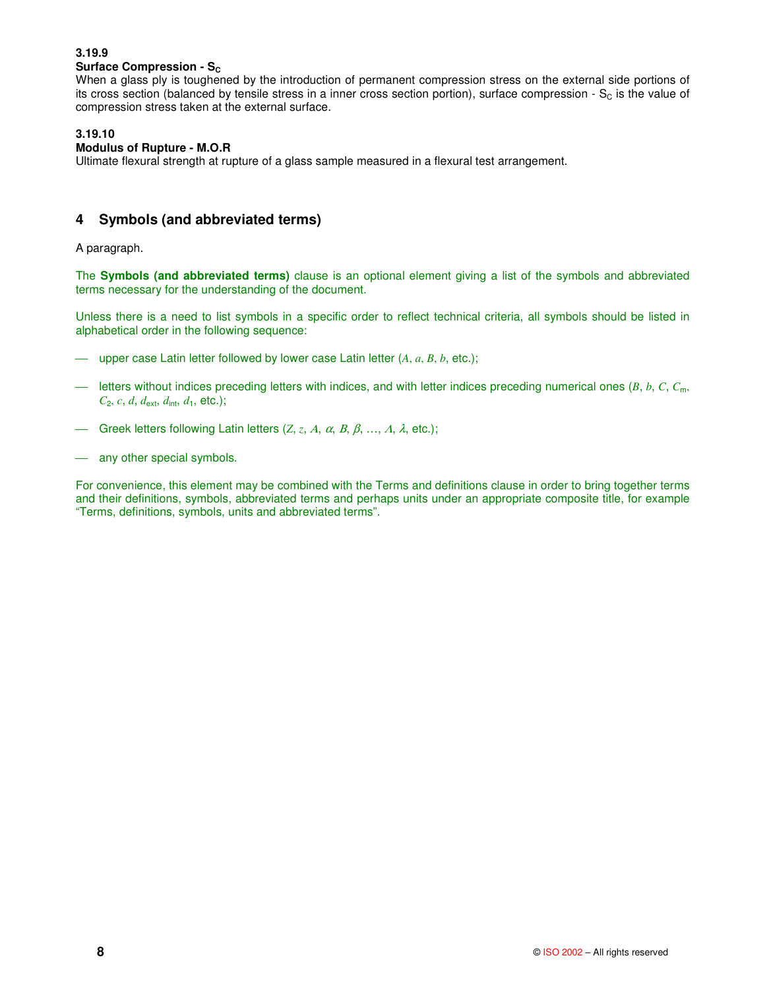# **3.19.9**

# **Surface Compression - S<sub>c</sub>**

When a glass ply is toughened by the introduction of permanent compression stress on the external side portions of its cross section (balanced by tensile stress in a inner cross section portion), surface compression -  $S_c$  is the value of compression stress taken at the external surface.

# **3.19.10**

# **Modulus of Rupture - M.O.R**

Ultimate flexural strength at rupture of a glass sample measured in a flexural test arrangement.

# **4 Symbols (and abbreviated terms)**

A paragraph.

The **Symbols (and abbreviated terms)** clause is an optional element giving a list of the symbols and abbreviated terms necessary for the understanding of the document.

Unless there is a need to list symbols in a specific order to reflect technical criteria, all symbols should be listed in alphabetical order in the following sequence:

- upper case Latin letter followed by lower case Latin letter (*A*, *a*, *B*, *b*, etc.);
- $-$  letters without indices preceding letters with indices, and with letter indices preceding numerical ones ( $B, b, C, C_m$ )  $C_2$ , *c*, *d*, *d*<sub>ext</sub>, *d*<sub>int</sub>, *d*<sub>1</sub>, etc.);
- Greek letters following Latin letters  $(Z, z, A, \alpha, B, \beta, ..., A, \lambda,$  etc.);
- any other special symbols.

For convenience, this element may be combined with the Terms and definitions clause in order to bring together terms and their definitions, symbols, abbreviated terms and perhaps units under an appropriate composite title, for example "Terms, definitions, symbols, units and abbreviated terms".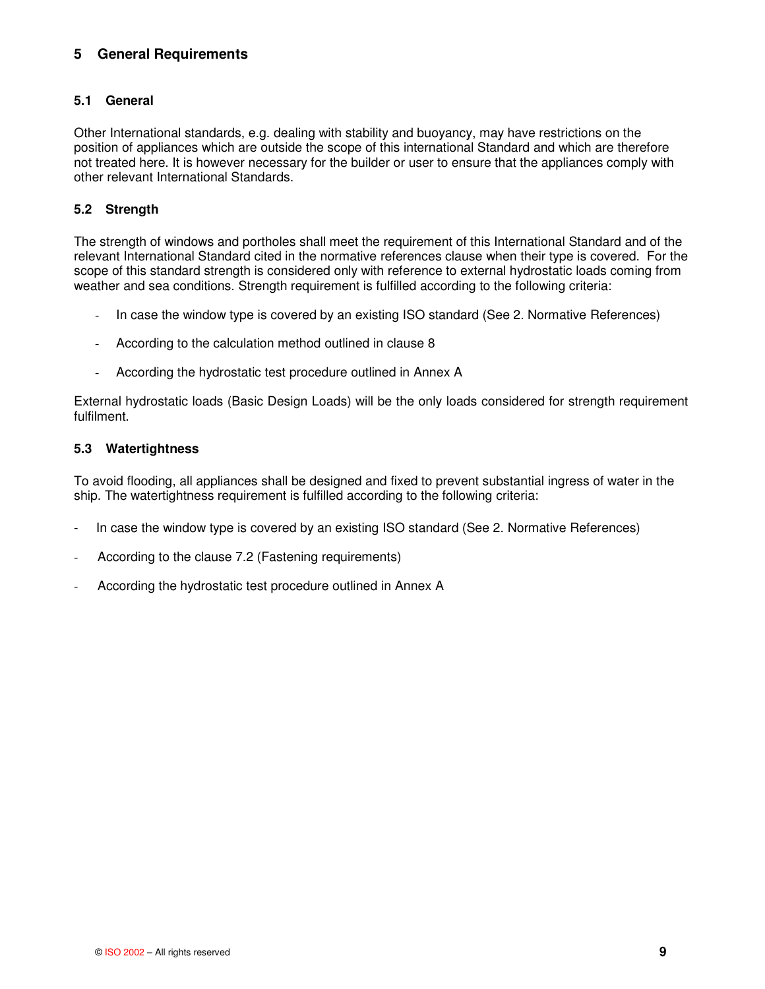# **5 General Requirements**

# **5.1 General**

Other International standards, e.g. dealing with stability and buoyancy, may have restrictions on the position of appliances which are outside the scope of this international Standard and which are therefore not treated here. It is however necessary for the builder or user to ensure that the appliances comply with other relevant International Standards.

# **5.2 Strength**

The strength of windows and portholes shall meet the requirement of this International Standard and of the relevant International Standard cited in the normative references clause when their type is covered. For the scope of this standard strength is considered only with reference to external hydrostatic loads coming from weather and sea conditions. Strength requirement is fulfilled according to the following criteria:

- In case the window type is covered by an existing ISO standard (See 2. Normative References)
- According to the calculation method outlined in clause 8
- According the hydrostatic test procedure outlined in Annex A

External hydrostatic loads (Basic Design Loads) will be the only loads considered for strength requirement fulfilment.

# **5.3 Watertightness**

To avoid flooding, all appliances shall be designed and fixed to prevent substantial ingress of water in the ship. The watertightness requirement is fulfilled according to the following criteria:

- In case the window type is covered by an existing ISO standard (See 2. Normative References)
- According to the clause 7.2 (Fastening requirements)
- According the hydrostatic test procedure outlined in Annex A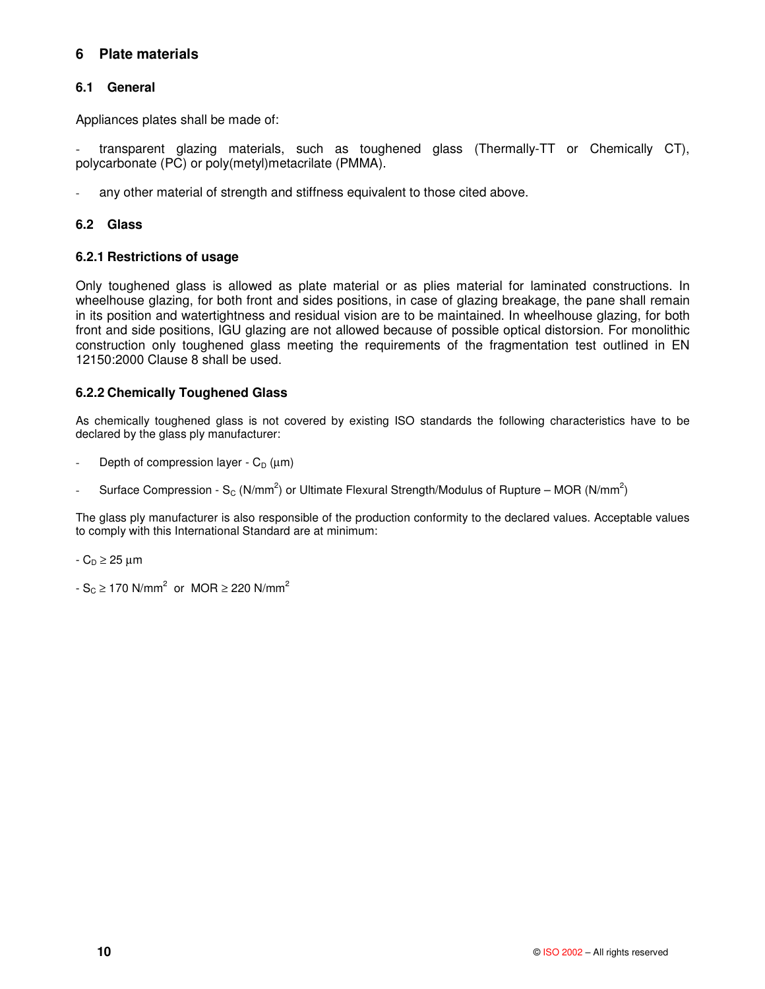# **6 Plate materials**

# **6.1 General**

Appliances plates shall be made of:

transparent glazing materials, such as toughened glass (Thermally-TT or Chemically CT), polycarbonate (PC) or poly(metyl)metacrilate (PMMA).

any other material of strength and stiffness equivalent to those cited above.

# **6.2 Glass**

# **6.2.1 Restrictions of usage**

Only toughened glass is allowed as plate material or as plies material for laminated constructions. In wheelhouse glazing, for both front and sides positions, in case of glazing breakage, the pane shall remain in its position and watertightness and residual vision are to be maintained. In wheelhouse glazing, for both front and side positions, IGU glazing are not allowed because of possible optical distorsion. For monolithic construction only toughened glass meeting the requirements of the fragmentation test outlined in EN 12150:2000 Clause 8 shall be used.

# **6.2.2 Chemically Toughened Glass**

As chemically toughened glass is not covered by existing ISO standards the following characteristics have to be declared by the glass ply manufacturer:

- Depth of compression layer  $C_D$  ( $\mu$ m)
- Surface Compression S<sub>c</sub> (N/mm<sup>2</sup>) or Ultimate Flexural Strength/Modulus of Rupture MOR (N/mm<sup>2</sup>)

The glass ply manufacturer is also responsible of the production conformity to the declared values. Acceptable values to comply with this International Standard are at minimum:

 $-C_D \geq 25 \mu m$ 

 $-S<sub>C</sub> \ge 170$  N/mm<sup>2</sup> or MOR  $\ge$  220 N/mm<sup>2</sup>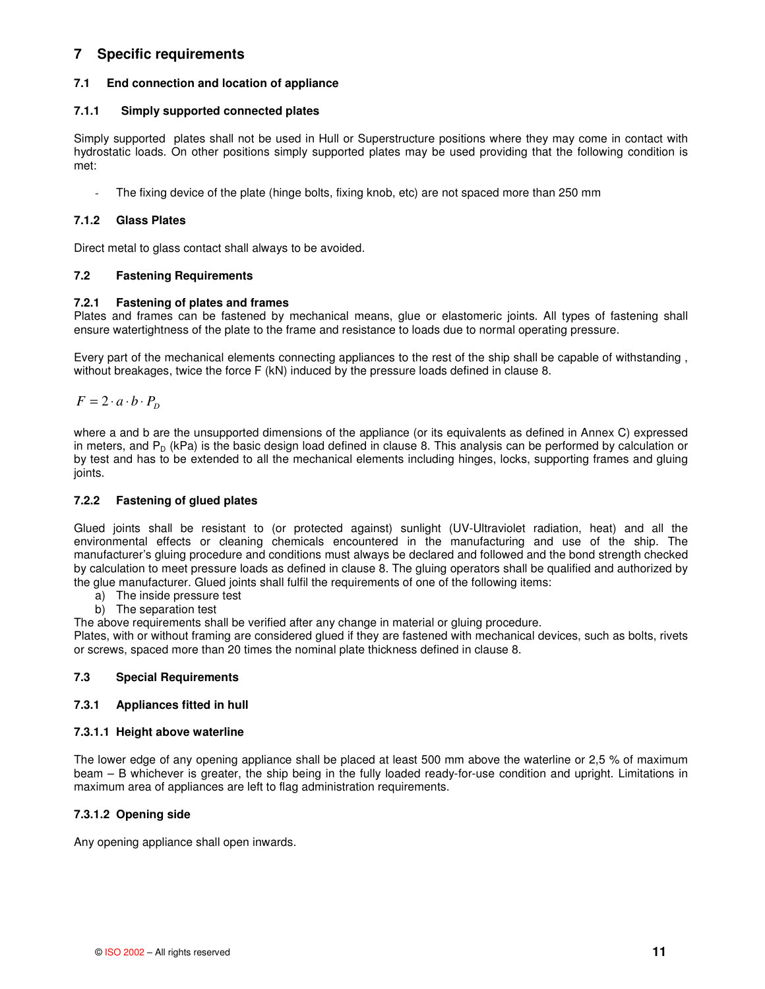# **7 Specific requirements**

# **7.1 End connection and location of appliance**

# **7.1.1 Simply supported connected plates**

Simply supported plates shall not be used in Hull or Superstructure positions where they may come in contact with hydrostatic loads. On other positions simply supported plates may be used providing that the following condition is met:

- The fixing device of the plate (hinge bolts, fixing knob, etc) are not spaced more than 250 mm

# **7.1.2 Glass Plates**

Direct metal to glass contact shall always to be avoided.

# **7.2 Fastening Requirements**

# **7.2.1 Fastening of plates and frames**

Plates and frames can be fastened by mechanical means, glue or elastomeric joints. All types of fastening shall ensure watertightness of the plate to the frame and resistance to loads due to normal operating pressure.

Every part of the mechanical elements connecting appliances to the rest of the ship shall be capable of withstanding , without breakages, twice the force F (kN) induced by the pressure loads defined in clause 8.

 $F = 2 \cdot a \cdot b \cdot P_D$ 

where a and b are the unsupported dimensions of the appliance (or its equivalents as defined in Annex C) expressed in meters, and  $P_D$  (kPa) is the basic design load defined in clause 8. This analysis can be performed by calculation or by test and has to be extended to all the mechanical elements including hinges, locks, supporting frames and gluing joints.

#### **7.2.2 Fastening of glued plates**

Glued joints shall be resistant to (or protected against) sunlight (UV-Ultraviolet radiation, heat) and all the environmental effects or cleaning chemicals encountered in the manufacturing and use of the ship. The manufacturer's gluing procedure and conditions must always be declared and followed and the bond strength checked by calculation to meet pressure loads as defined in clause 8. The gluing operators shall be qualified and authorized by the glue manufacturer. Glued joints shall fulfil the requirements of one of the following items:

- a) The inside pressure test
- b) The separation test

The above requirements shall be verified after any change in material or gluing procedure.

Plates, with or without framing are considered glued if they are fastened with mechanical devices, such as bolts, rivets or screws, spaced more than 20 times the nominal plate thickness defined in clause 8.

# **7.3 Special Requirements**

#### **7.3.1 Appliances fitted in hull**

#### **7.3.1.1 Height above waterline**

The lower edge of any opening appliance shall be placed at least 500 mm above the waterline or 2,5 % of maximum beam – B whichever is greater, the ship being in the fully loaded ready-for-use condition and upright. Limitations in maximum area of appliances are left to flag administration requirements.

# **7.3.1.2 Opening side**

Any opening appliance shall open inwards.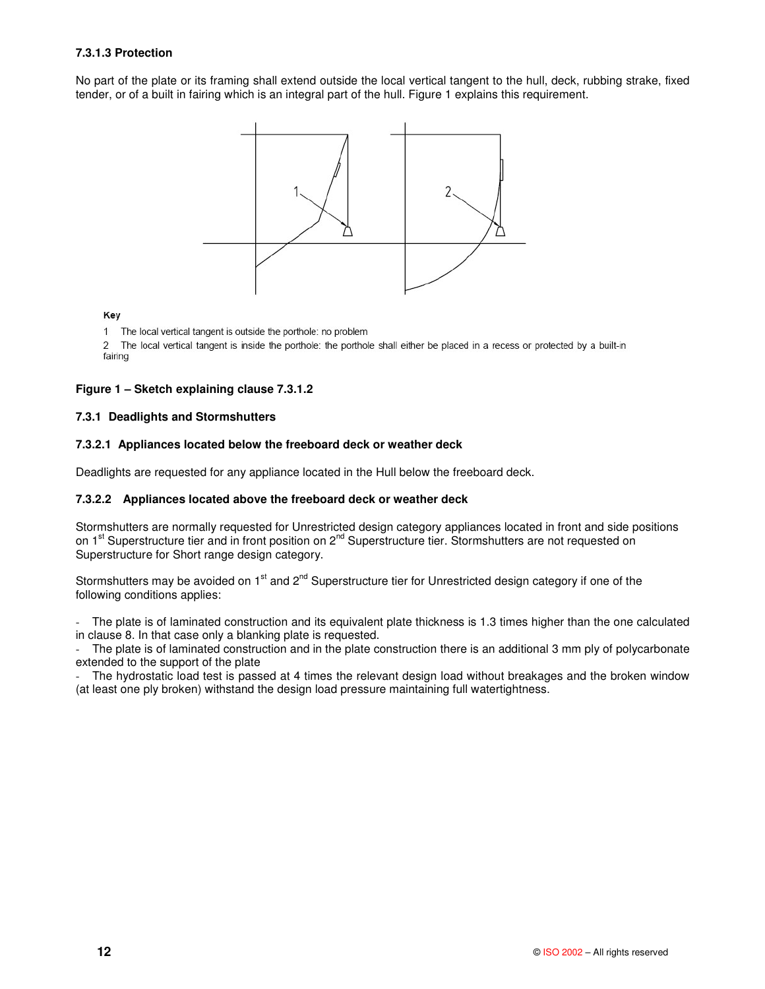# **7.3.1.3 Protection**

No part of the plate or its framing shall extend outside the local vertical tangent to the hull, deck, rubbing strake, fixed tender, or of a built in fairing which is an integral part of the hull. Figure 1 explains this requirement.



Key

1 The local vertical tangent is outside the porthole: no problem

2 The local vertical tangent is inside the porthole: the porthole shall either be placed in a recess or protected by a built-in fairing

# **Figure 1 – Sketch explaining clause 7.3.1.2**

# **7.3.1 Deadlights and Stormshutters**

#### **7.3.2.1 Appliances located below the freeboard deck or weather deck**

Deadlights are requested for any appliance located in the Hull below the freeboard deck.

#### **7.3.2.2 Appliances located above the freeboard deck or weather deck**

Stormshutters are normally requested for Unrestricted design category appliances located in front and side positions on 1<sup>st</sup> Superstructure tier and in front position on 2<sup>nd</sup> Superstructure tier. Stormshutters are not requested on Superstructure for Short range design category.

Stormshutters may be avoided on 1<sup>st</sup> and 2<sup>nd</sup> Superstructure tier for Unrestricted design category if one of the following conditions applies:

- The plate is of laminated construction and its equivalent plate thickness is 1.3 times higher than the one calculated in clause 8. In that case only a blanking plate is requested.

The plate is of laminated construction and in the plate construction there is an additional 3 mm ply of polycarbonate extended to the support of the plate

The hydrostatic load test is passed at 4 times the relevant design load without breakages and the broken window (at least one ply broken) withstand the design load pressure maintaining full watertightness.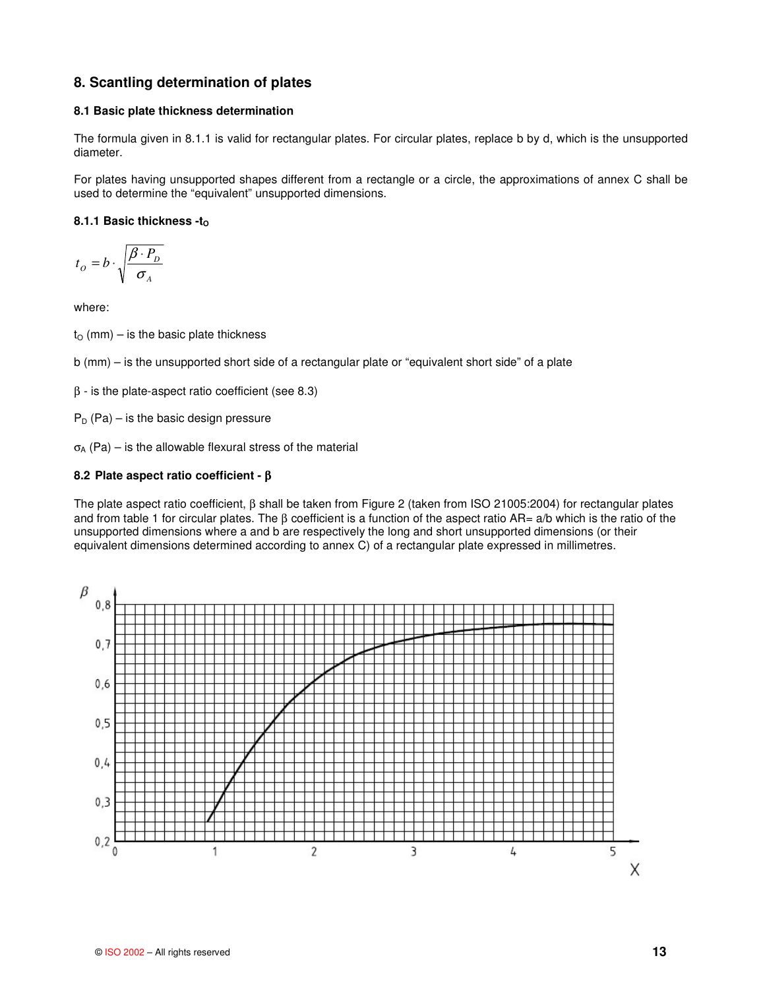# **8. Scantling determination of plates**

#### **8.1 Basic plate thickness determination**

The formula given in 8.1.1 is valid for rectangular plates. For circular plates, replace b by d, which is the unsupported diameter.

For plates having unsupported shapes different from a rectangle or a circle, the approximations of annex C shall be used to determine the "equivalent" unsupported dimensions.

# **8.1.1 Basic thickness -to**

*A*  $\mathcal{D} = b \cdot \sqrt{\frac{p \cdot \mathbf{I}_D}{\sigma}}$  $t_o = b \cdot \sqrt{\frac{\beta \cdot P_i}{\sigma}}$  $= b \cdot \sqrt{\frac{\beta}{\epsilon}}$ 

where:

 $t<sub>O</sub>$  (mm) – is the basic plate thickness

b (mm) – is the unsupported short side of a rectangular plate or "equivalent short side" of a plate

 $β - is the plate-aspect ratio coefficient (see 8.3)$ 

 $P_D$  (Pa) – is the basic design pressure

 $\sigma_A$  (Pa) – is the allowable flexural stress of the material

# **8.2 Plate aspect ratio coefficient -** β

The plate aspect ratio coefficient, β shall be taken from Figure 2 (taken from ISO 21005:2004) for rectangular plates and from table 1 for circular plates. The β coefficient is a function of the aspect ratio AR= a/b which is the ratio of the unsupported dimensions where a and b are respectively the long and short unsupported dimensions (or their equivalent dimensions determined according to annex C) of a rectangular plate expressed in millimetres.

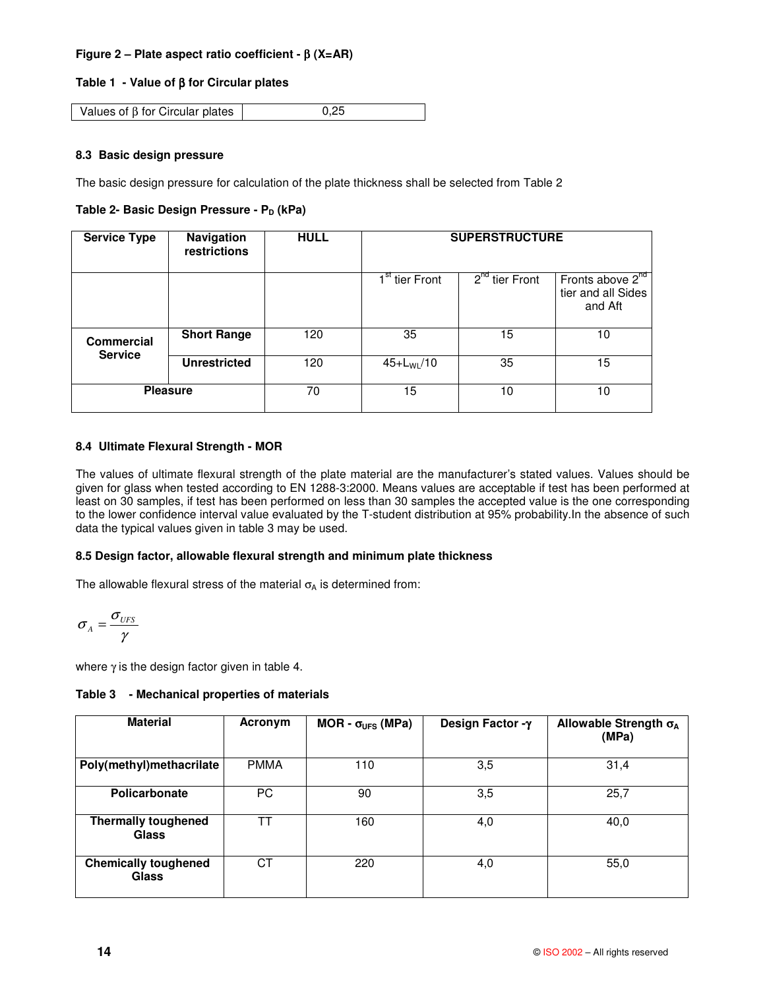# **Figure 2 – Plate aspect ratio coefficient -** β **(X=AR)**

# **Table 1 - Value of** β **for Circular plates**

Values of  $\beta$  for Circular plates  $\begin{bmatrix} 0.25 \end{bmatrix}$ 

# **8.3 Basic design pressure**

The basic design pressure for calculation of the plate thickness shall be selected from Table 2

# **Table 2- Basic Design Pressure - P<sub>D</sub> (kPa)**

| <b>Service Type</b> | Navigation<br>restrictions | <b>HULL</b> | <b>SUPERSTRUCTURE</b>      |                  |                                                               |
|---------------------|----------------------------|-------------|----------------------------|------------------|---------------------------------------------------------------|
|                     |                            |             | 1 <sup>st</sup> tier Front | $2nd$ tier Front | Fronts above 2 <sup>nd</sup><br>tier and all Sides<br>and Aft |
| <b>Commercial</b>   | <b>Short Range</b>         | 120         | 35                         | 15               | 10                                                            |
| <b>Service</b>      | <b>Unrestricted</b>        | 120         | $45+L_{WL}/10$             | 35               | 15                                                            |
| <b>Pleasure</b>     |                            | 70          | 15                         | 10               | 10                                                            |

# **8.4 Ultimate Flexural Strength - MOR**

The values of ultimate flexural strength of the plate material are the manufacturer's stated values. Values should be given for glass when tested according to EN 1288-3:2000. Means values are acceptable if test has been performed at least on 30 samples, if test has been performed on less than 30 samples the accepted value is the one corresponding to the lower confidence interval value evaluated by the T-student distribution at 95% probability.In the absence of such data the typical values given in table 3 may be used.

#### **8.5 Design factor, allowable flexural strength and minimum plate thickness**

The allowable flexural stress of the material  $\sigma_A$  is determined from:

$$
\sigma_{A} = \frac{\sigma_{UFS}}{\gamma}
$$

where  $\gamma$  is the design factor given in table 4.

**Table 3 - Mechanical properties of materials**

| <b>Material</b>                             | Acronym     | MOR - $\sigma_{UFS}$ (MPa) | Design Factor -γ | Allowable Strength $\sigma_A$<br>(MPa) |
|---------------------------------------------|-------------|----------------------------|------------------|----------------------------------------|
| Poly(methyl)methacrilate                    | <b>PMMA</b> | 110                        | 3,5              | 31,4                                   |
| Policarbonate                               | PC.         | 90                         | 3,5              | 25,7                                   |
| <b>Thermally toughened</b><br><b>Glass</b>  | ТT          | 160                        | 4,0              | 40,0                                   |
| <b>Chemically toughened</b><br><b>Glass</b> | СT          | 220                        | 4,0              | 55,0                                   |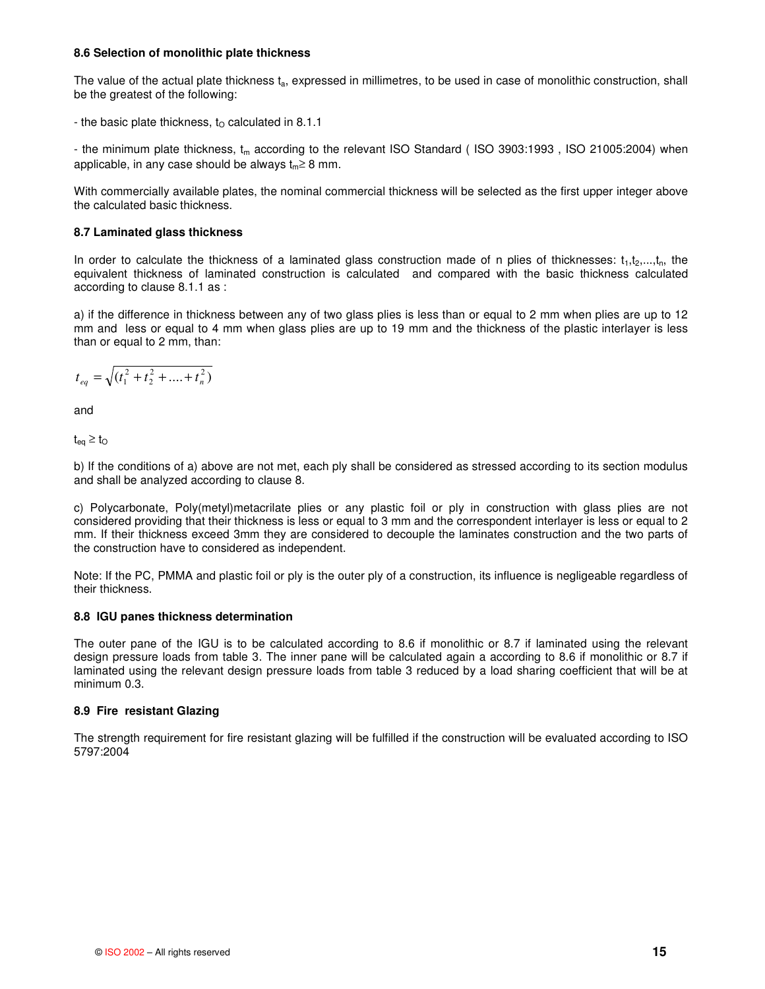#### **8.6 Selection of monolithic plate thickness**

The value of the actual plate thickness  $t_a$ , expressed in millimetres, to be used in case of monolithic construction, shall be the greatest of the following:

- the basic plate thickness,  $t<sub>O</sub>$  calculated in 8.1.1

- the minimum plate thickness,  $t_m$  according to the relevant ISO Standard (ISO 3903:1993, ISO 21005:2004) when applicable, in any case should be always  $t_m \geq 8$  mm.

With commercially available plates, the nominal commercial thickness will be selected as the first upper integer above the calculated basic thickness.

#### **8.7 Laminated glass thickness**

In order to calculate the thickness of a laminated glass construction made of n plies of thicknesses:  $t_1, t_2, \ldots, t_n$ , the equivalent thickness of laminated construction is calculated and compared with the basic thickness calculated according to clause 8.1.1 as :

a) if the difference in thickness between any of two glass plies is less than or equal to 2 mm when plies are up to 12 mm and less or equal to 4 mm when glass plies are up to 19 mm and the thickness of the plastic interlayer is less than or equal to 2 mm, than:

$$
t_{eq} = \sqrt{(t_1^2 + t_2^2 + \dots + t_n^2)}
$$

and

 $t_{eq} \geq t_O$ 

b) If the conditions of a) above are not met, each ply shall be considered as stressed according to its section modulus and shall be analyzed according to clause 8.

c) Polycarbonate, Poly(metyl)metacrilate plies or any plastic foil or ply in construction with glass plies are not considered providing that their thickness is less or equal to 3 mm and the correspondent interlayer is less or equal to 2 mm. If their thickness exceed 3mm they are considered to decouple the laminates construction and the two parts of the construction have to considered as independent.

Note: If the PC, PMMA and plastic foil or ply is the outer ply of a construction, its influence is negligeable regardless of their thickness.

#### **8.8 IGU panes thickness determination**

The outer pane of the IGU is to be calculated according to 8.6 if monolithic or 8.7 if laminated using the relevant design pressure loads from table 3. The inner pane will be calculated again a according to 8.6 if monolithic or 8.7 if laminated using the relevant design pressure loads from table 3 reduced by a load sharing coefficient that will be at minimum 0.3.

#### **8.9 Fire resistant Glazing**

The strength requirement for fire resistant glazing will be fulfilled if the construction will be evaluated according to ISO 5797:2004